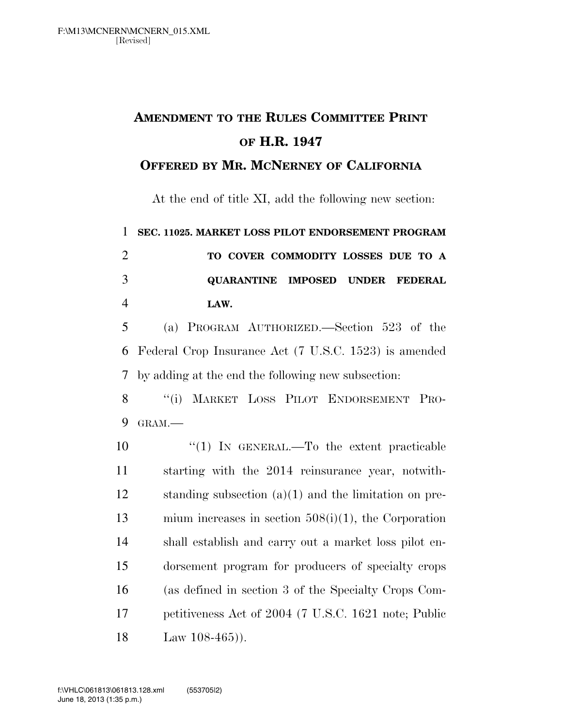## **AMENDMENT TO THE RULES COMMITTEE PRINT OF H.R. 1947**

## **OFFERED BY MR. MCNERNEY OF CALIFORNIA**

At the end of title XI, add the following new section:

 **SEC. 11025. MARKET LOSS PILOT ENDORSEMENT PROGRAM TO COVER COMMODITY LOSSES DUE TO A QUARANTINE IMPOSED UNDER FEDERAL LAW.** 

 (a) PROGRAM AUTHORIZED.—Section 523 of the Federal Crop Insurance Act (7 U.S.C. 1523) is amended by adding at the end the following new subsection:

 ''(i) MARKET LOSS PILOT ENDORSEMENT PRO-GRAM.—

 ''(1) IN GENERAL.—To the extent practicable starting with the 2014 reinsurance year, notwith- standing subsection (a)(1) and the limitation on pre- mium increases in section 508(i)(1), the Corporation shall establish and carry out a market loss pilot en- dorsement program for producers of specialty crops (as defined in section 3 of the Specialty Crops Com- petitiveness Act of 2004 (7 U.S.C. 1621 note; Public Law 108-465)).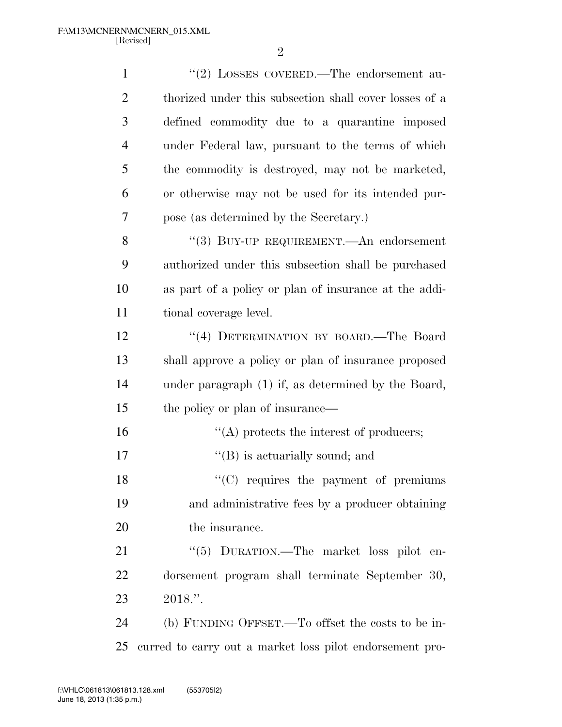| $\mathbf{1}$   | "(2) LOSSES COVERED.—The endorsement au-                 |
|----------------|----------------------------------------------------------|
| $\overline{c}$ | thorized under this subsection shall cover losses of a   |
| 3              | defined commodity due to a quarantine imposed            |
| 4              | under Federal law, pursuant to the terms of which        |
| 5              | the commodity is destroyed, may not be marketed,         |
| 6              | or otherwise may not be used for its intended pur-       |
| 7              | pose (as determined by the Secretary.)                   |
| 8              | "(3) BUY-UP REQUIREMENT.—An endorsement                  |
| 9              | authorized under this subsection shall be purchased      |
| 10             | as part of a policy or plan of insurance at the addi-    |
| 11             | tional coverage level.                                   |
| 12             | "(4) DETERMINATION BY BOARD.—The Board                   |
| 13             | shall approve a policy or plan of insurance proposed     |
| 14             | under paragraph (1) if, as determined by the Board,      |
| 15             | the policy or plan of insurance—                         |
| 16             | $\lq\lq$ protects the interest of producers;             |
| 17             | $\lq\lq$ (B) is actuarially sound; and                   |
| 18             | "(C) requires the payment of premiums                    |
| 19             | and administrative fees by a producer obtaining          |
| 20             | the insurance.                                           |
| 21             | "(5) DURATION.—The market loss pilot en-                 |
| 22             | dorsement program shall terminate September 30,          |
| 23             | $2018."$ .                                               |
| 24             | (b) FUNDING OFFSET.—To offset the costs to be in-        |
| 25             | curred to carry out a market loss pilot endorsement pro- |